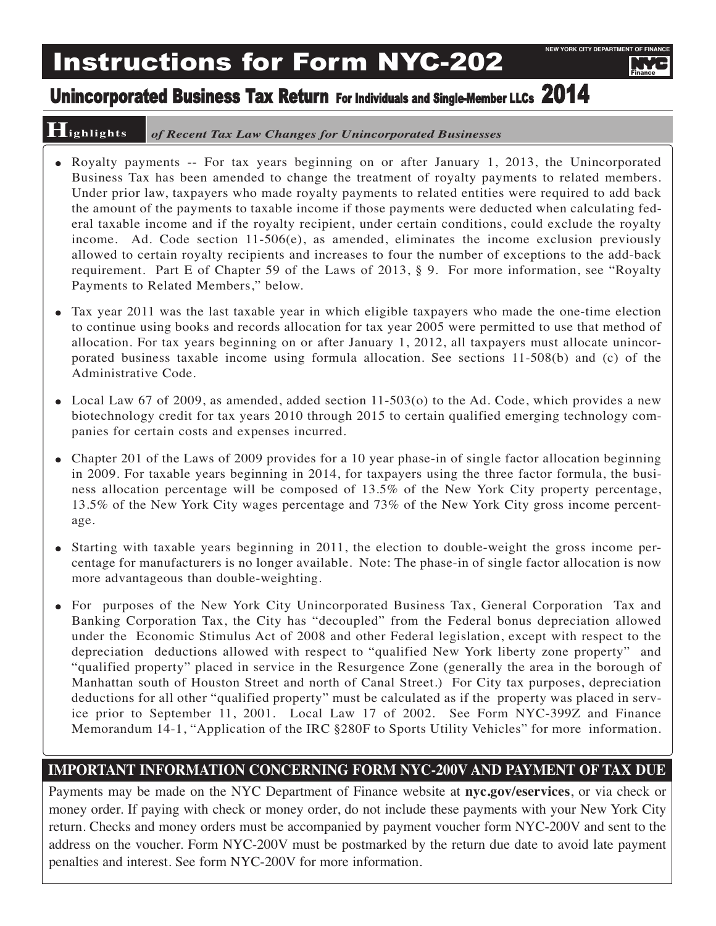# Instructions for Form NYC-202

Finance

# Unincorporated Business Tax Return For Individuals and Single-Member LLCs 2014

## **Highlights** *of Recent Tax Law Changes for Unincorporated Businesses*

- Royalty payments -- For tax years beginning on or after January 1, 2013, the Unincorporated Business Tax has been amended to change the treatment of royalty payments to related members. Under prior law, taxpayers who made royalty payments to related entities were required to add back the amount of the payments to taxable income if those payments were deducted when calculating federal taxable income and if the royalty recipient, under certain conditions, could exclude the royalty income. Ad. Code section  $11-506(e)$ , as amended, eliminates the income exclusion previously allowed to certain royalty recipients and increases to four the number of exceptions to the add-back requirement. Part E of Chapter 59 of the Laws of 2013, § 9. For more information, see "Royalty Payments to Related Members," below.
- Tax year 2011 was the last taxable year in which eligible taxpayers who made the one-time election to continue using books and records allocation for tax year 2005 were permitted to use that method of allocation. For tax years beginning on or after January 1, 2012, all taxpayers must allocate unincorporated business taxable income using formula allocation. See sections 11-508(b) and (c) of the Administrative Code.
- Local Law 67 of 2009, as amended, added section 11-503(o) to the Ad. Code, which provides a new biotechnology credit for tax years 2010 through 2015 to certain qualified emerging technology companies for certain costs and expenses incurred.
- Chapter 201 of the Laws of 2009 provides for a 10 year phase-in of single factor allocation beginning in 2009. For taxable years beginning in 2014, for taxpayers using the three factor formula, the business allocation percentage will be composed of 13.5% of the New York City property percentage, 13.5% of the New York City wages percentage and 73% of the New York City gross income percentage.
- Starting with taxable years beginning in 2011, the election to double-weight the gross income percentage for manufacturers is no longer available. Note: The phase-in of single factor allocation is now more advantageous than double-weighting.
- For purposes of the New York City Unincorporated Business Tax, General Corporation Tax and Banking Corporation Tax, the City has "decoupled" from the Federal bonus depreciation allowed under the Economic Stimulus Act of 2008 and other Federal legislation, except with respect to the depreciation deductions allowed with respect to "qualified New York liberty zone property" and "qualified property" placed in service in the Resurgence Zone (generally the area in the borough of Manhattan south of Houston Street and north of Canal Street.) For City tax purposes, depreciation deductions for all other "qualified property" must be calculated as if the property was placed in service prior to September 11, 2001. Local Law 17 of 2002. See Form NYC-399Z and Finance Memorandum 14-1, "Application of the IRC §280F to Sports Utility Vehicles" for more information.

## **IMPORTANT INFORMATION CONCERNING FORM NYC-200V AND PAYMENT OF TAX DUE**

Payments may be made on the NYC Department of Finance website at **nyc.gov/eservices**, or via check or money order. If paying with check or money order, do not include these payments with your New York City return. Checks and money orders must be accompanied by payment voucher form NYC-200V and sent to the address on the voucher. Form NYC-200V must be postmarked by the return due date to avoid late payment penalties and interest. See form NYC-200V for more information.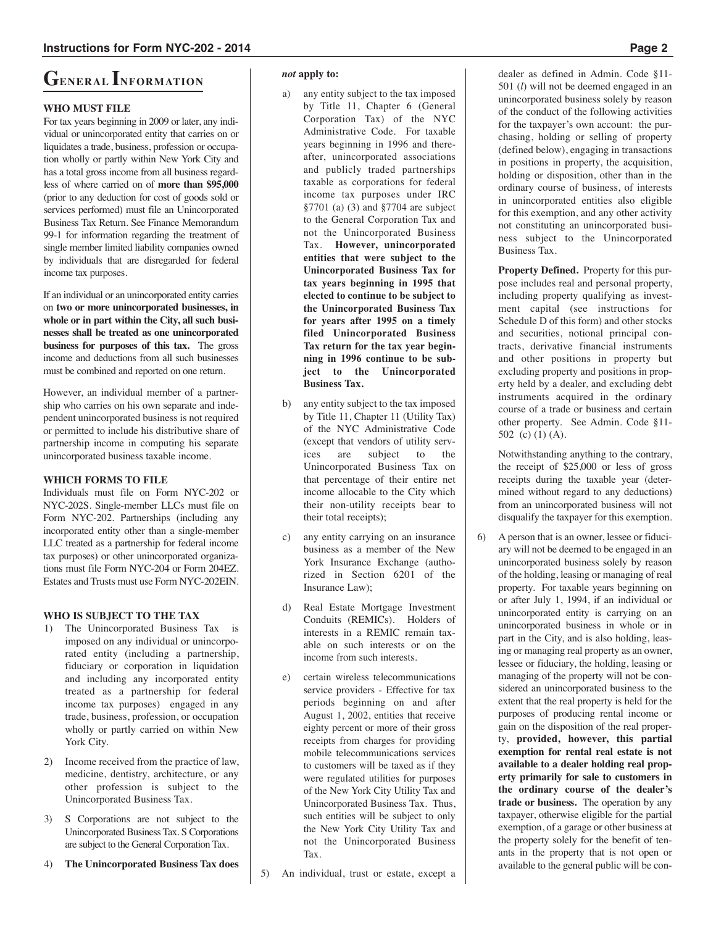# **GENERAL INFORMATION**

## **WHO MUST FILE**

For tax years beginning in 2009 or later, any individual or unincorporated entity that carries on or liquidates a trade, business, profession or occupation wholly or partly within New York City and has a total gross income from all business regardless of where carried on of **more than \$95,000** (prior to any deduction for cost of goods sold or services performed) must file an Unincorporated Business Tax Return. See Finance Memorandum 99-1 for information regarding the treatment of single member limited liability companies owned by individuals that are disregarded for federal income tax purposes.

If an individual or an unincorporated entity carries on **two or more unincorporated businesses, in whole or in part within the City, all such businesses shall be treated as one unincorporated business for purposes of this tax.** The gross income and deductions from all such businesses must be combined and reported on one return.

However, an individual member of a partnership who carries on his own separate and independent unincorporated business is not required or permitted to include his distributive share of partnership income in computing his separate unincorporated business taxable income.

## **WHICH FORMS TO FILE**

Individuals must file on Form NYC-202 or NYC-202S. Single-member LLCs must file on Form NYC-202. Partnerships (including any incorporated entity other than a single-member LLC treated as a partnership for federal income tax purposes) or other unincorporated organizations must file Form NYC-204 or Form 204EZ. Estates and Trusts must use Form NYC-202EIN.

## **WHO IS SUBJECT TO THE TAX**

- 1) The Unincorporated Business Tax is imposed on any individual or unincorporated entity (including a partnership, fiduciary or corporation in liquidation and including any incorporated entity treated as a partnership for federal income tax purposes) engaged in any trade, business, profession, or occupation wholly or partly carried on within New York City.
- 2) Income received from the practice of law, medicine, dentistry, architecture, or any other profession is subject to the Unincorporated Business Tax.
- 3) S Corporations are not subject to the Unincorporated Business Tax. S Corporations are subject to the General Corporation Tax.
- 4) **The Unincorporated Business Tax does**

#### *not* **apply to:**

- a) any entity subject to the tax imposed by Title 11, Chapter 6 (General Corporation Tax) of the NYC Administrative Code. For taxable years beginning in 1996 and thereafter, unincorporated associations and publicly traded partnerships taxable as corporations for federal income tax purposes under IRC §7701 (a) (3) and §7704 are subject to the General Corporation Tax and not the Unincorporated Business Tax. **However, unincorporated entities that were subject to the Unincorporated Business Tax for tax years beginning in 1995 that elected to continue to be subject to the Unincorporated Business Tax for years after 1995 on a timely filed Unincorporated Business Tax return for the tax year beginning in 1996 continue to be subject to the Unincorporated Business Tax.**
- b) any entity subject to the tax imposed by Title 11, Chapter 11 (Utility Tax) of the NYC Administrative Code (except that vendors of utility services are subject to the Unincorporated Business Tax on that percentage of their entire net income allocable to the City which their non-utility receipts bear to their total receipts);
- c) any entity carrying on an insurance business as a member of the New York Insurance Exchange (authorized in Section 6201 of the Insurance Law);
- d) Real Estate Mortgage Investment Conduits (REMICs). Holders of interests in a REMIC remain taxable on such interests or on the income from such interests.
- e) certain wireless telecommunications service providers - Effective for tax periods beginning on and after August 1, 2002, entities that receive eighty percent or more of their gross receipts from charges for providing mobile telecommunications services to customers will be taxed as if they were regulated utilities for purposes of the New York City Utility Tax and Unincorporated Business Tax. Thus, such entities will be subject to only the New York City Utility Tax and not the Unincorporated Business Tax.
- 5) An individual, trust or estate, except a

dealer as defined in Admin. Code §11- 501 (*l*) will not be deemed engaged in an unincorporated business solely by reason of the conduct of the following activities for the taxpayer's own account: the purchasing, holding or selling of property (defined below), engaging in transactions in positions in property, the acquisition, holding or disposition, other than in the ordinary course of business, of interests in unincorporated entities also eligible for this exemption, and any other activity not constituting an unincorporated business subject to the Unincorporated Business Tax.

**Property Defined.** Property for this purpose includes real and personal property, including property qualifying as investment capital (see instructions for Schedule D of this form) and other stocks and securities, notional principal contracts, derivative financial instruments and other positions in property but excluding property and positions in property held by a dealer, and excluding debt instruments acquired in the ordinary course of a trade or business and certain other property. See Admin. Code §11- 502 (c) (1) (A).

Notwithstanding anything to the contrary, the receipt of \$25,000 or less of gross receipts during the taxable year (determined without regard to any deductions) from an unincorporated business will not disqualify the taxpayer for this exemption.

6) A person that is an owner, lessee or fiduciary will not be deemed to be engaged in an unincorporated business solely by reason of the holding, leasing or managing of real property. For taxable years beginning on or after July 1, 1994, if an individual or unincorporated entity is carrying on an unincorporated business in whole or in part in the City, and is also holding, leasing or managing real property as an owner, lessee or fiduciary, the holding, leasing or managing of the property will not be considered an unincorporated business to the extent that the real property is held for the purposes of producing rental income or gain on the disposition of the real property, **provided, however, this partial exemption for rental real estate is not available to a dealer holding real property primarily for sale to customers in the ordinary course of the dealer's trade or business.** The operation by any taxpayer, otherwise eligible for the partial exemption, of a garage or other business at the property solely for the benefit of tenants in the property that is not open or available to the general public will be con-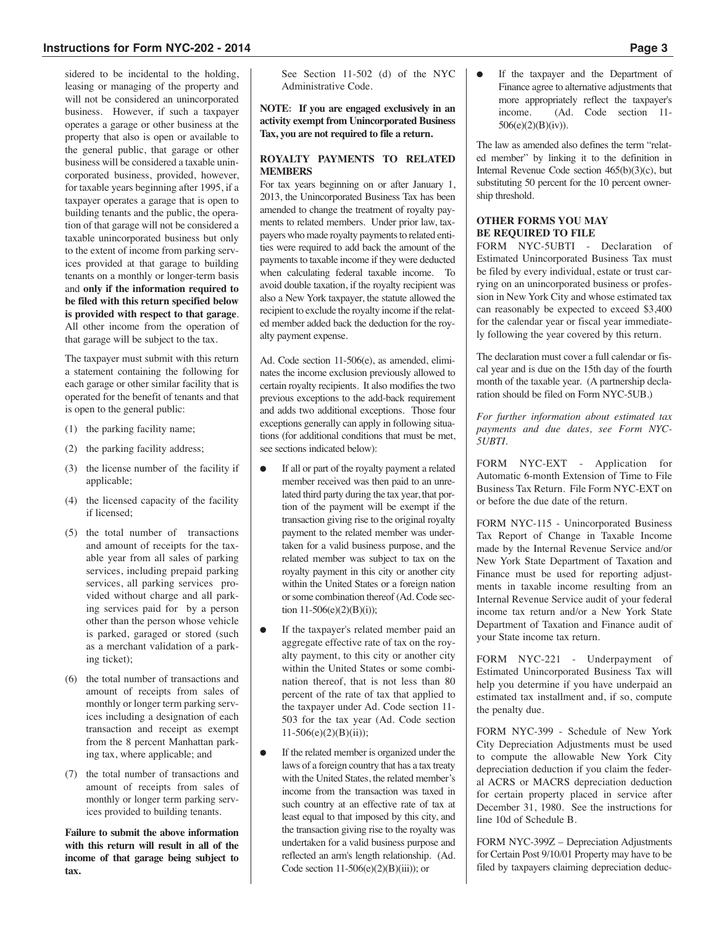sidered to be incidental to the holding, leasing or managing of the property and will not be considered an unincorporated business. However, if such a taxpayer operates a garage or other business at the property that also is open or available to the general public, that garage or other business will be considered a taxable unincorporated business, provided, however, for taxable years beginning after 1995, if a taxpayer operates a garage that is open to building tenants and the public, the operation of that garage will not be considered a taxable unincorporated business but only to the extent of income from parking services provided at that garage to building tenants on a monthly or longer-term basis and **only if the information required to be filed with this return specified below is provided with respect to that garage**. All other income from the operation of that garage will be subject to the tax.

The taxpayer must submit with this return a statement containing the following for each garage or other similar facility that is operated for the benefit of tenants and that is open to the general public:

- (1) the parking facility name;
- (2) the parking facility address;
- (3) the license number of the facility if applicable;
- (4) the licensed capacity of the facility if licensed;
- (5) the total number of transactions and amount of receipts for the taxable year from all sales of parking services, including prepaid parking services, all parking services provided without charge and all parking services paid for by a person other than the person whose vehicle is parked, garaged or stored (such as a merchant validation of a parking ticket);
- (6) the total number of transactions and amount of receipts from sales of monthly or longer term parking services including a designation of each transaction and receipt as exempt from the 8 percent Manhattan parking tax, where applicable; and
- (7) the total number of transactions and amount of receipts from sales of monthly or longer term parking services provided to building tenants.

**Failure to submit the above information with this return will result in all of the income of that garage being subject to tax.**

See Section 11-502 (d) of the NYC Administrative Code.

**NOTE: If you are engaged exclusively in an activity exempt from Unincorporated Business Tax, you are not required to file a return.**

## **ROYALTY PAYMENTS TO RELATED MEMBERS**

For tax years beginning on or after January 1, 2013, the Unincorporated Business Tax has been amended to change the treatment of royalty payments to related members. Under prior law, taxpayers who made royalty payments to related entities were required to add back the amount of the payments to taxable income if they were deducted when calculating federal taxable income. To avoid double taxation, if the royalty recipient was also a New York taxpayer, the statute allowed the recipient to exclude the royalty income if the related member added back the deduction for the royalty payment expense.

Ad. Code section 11-506(e), as amended, eliminates the income exclusion previously allowed to certain royalty recipients. It also modifies the two previous exceptions to the add-back requirement and adds two additional exceptions. Those four exceptions generally can apply in following situations (for additional conditions that must be met, see sections indicated below):

- If all or part of the royalty payment a related member received was then paid to an unrelated third party during the tax year, that portion of the payment will be exempt if the transaction giving rise to the original royalty payment to the related member was undertaken for a valid business purpose, and the related member was subject to tax on the royalty payment in this city or another city within the United States or a foreign nation or some combination thereof (Ad. Code section 11-506(e)(2)(B)(i));
- If the taxpayer's related member paid an aggregate effective rate of tax on the royalty payment, to this city or another city within the United States or some combination thereof, that is not less than 80 percent of the rate of tax that applied to the taxpayer under Ad. Code section 11- 503 for the tax year (Ad. Code section 11-506(e)(2)(B)(ii));
- If the related member is organized under the laws of a foreign country that has a tax treaty with the United States, the related member's income from the transaction was taxed in such country at an effective rate of tax at least equal to that imposed by this city, and the transaction giving rise to the royalty was undertaken for a valid business purpose and reflected an arm's length relationship. (Ad. Code section  $11-506(e)(2)(B)(iii)$ ; or

● If the taxpayer and the Department of Finance agree to alternative adjustments that more appropriately reflect the taxpayer's income. (Ad. Code section 11- 506(e)(2)(B)(iv)).

The law as amended also defines the term "related member" by linking it to the definition in Internal Revenue Code section 465(b)(3)(c), but substituting 50 percent for the 10 percent ownership threshold.

## **OTHER FORMS YOU MAY BE REQUIRED TO FILE**

FORM NYC-5UBTI - Declaration of Estimated Unincorporated Business Tax must be filed by every individual, estate or trust carrying on an unincorporated business or profession in New York City and whose estimated tax can reasonably be expected to exceed \$3,400 for the calendar year or fiscal year immediately following the year covered by this return.

The declaration must cover a full calendar or fiscal year and is due on the 15th day of the fourth month of the taxable year. (A partnership declaration should be filed on Form NYC-5UB.)

*For further information about estimated tax payments and due dates, see Form NYC-5UBTI.*

FORM NYC-EXT - Application for Automatic 6-month Extension of Time to File Business Tax Return. File Form NYC-EXT on or before the due date of the return.

FORM NYC-115 - Unincorporated Business Tax Report of Change in Taxable Income made by the Internal Revenue Service and/or New York State Department of Taxation and Finance must be used for reporting adjustments in taxable income resulting from an Internal Revenue Service audit of your federal income tax return and/or a New York State Department of Taxation and Finance audit of your State income tax return.

FORM NYC-221 - Underpayment of Estimated Unincorporated Business Tax will help you determine if you have underpaid an estimated tax installment and, if so, compute the penalty due.

FORM NYC-399 - Schedule of New York City Depreciation Adjustments must be used to compute the allowable New York City depreciation deduction if you claim the federal ACRS or MACRS depreciation deduction for certain property placed in service after December 31, 1980. See the instructions for line 10d of Schedule B.

FORM NYC-399Z – Depreciation Adjustments for Certain Post 9/10/01 Property may have to be filed by taxpayers claiming depreciation deduc-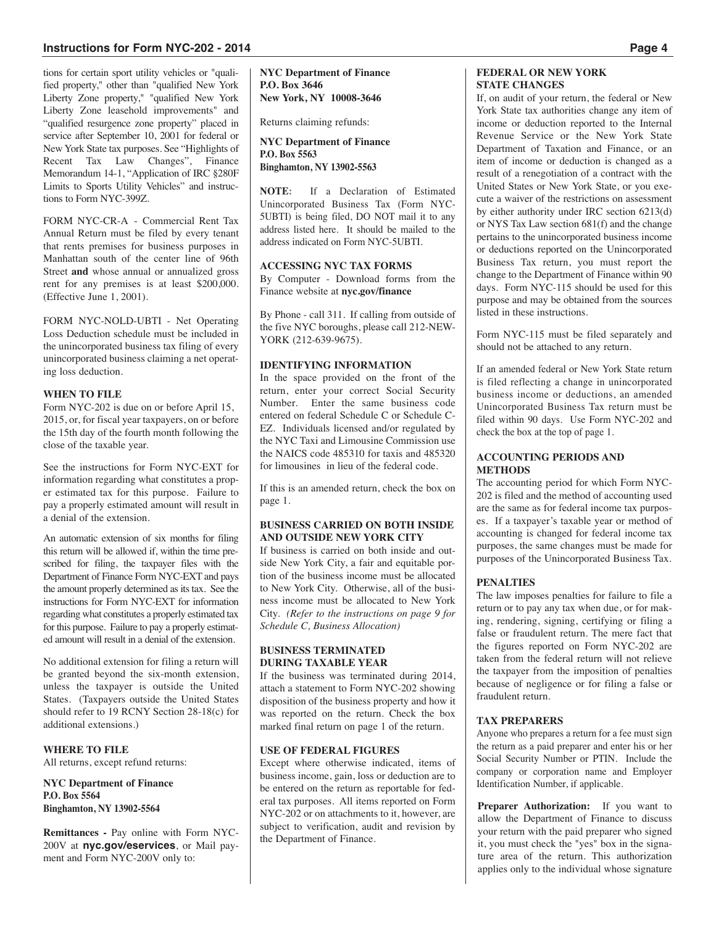## **Instructions for Form NYC-202 - 2014 Page 4**

tions for certain sport utility vehicles or "qualified property," other than "qualified New York Liberty Zone property," "qualified New York Liberty Zone leasehold improvements" and "qualified resurgence zone property" placed in service after September 10, 2001 for federal or New York State tax purposes. See "Highlights of Recent Tax Law Changes", Finance Memorandum 14-1, "Application of IRC §280F Limits to Sports Utility Vehicles" and instructions to Form NYC-399Z.

FORM NYC-CR-A - Commercial Rent Tax Annual Return must be filed by every tenant that rents premises for business purposes in Manhattan south of the center line of 96th Street **and** whose annual or annualized gross rent for any premises is at least \$200,000. (Effective June 1, 2001).

FORM NYC-NOLD-UBTI - Net Operating Loss Deduction schedule must be included in the unincorporated business tax filing of every unincorporated business claiming a net operating loss deduction.

## **WHEN TO FILE**

Form NYC-202 is due on or before April 15, 2015, or, for fiscal year taxpayers, on or before the 15th day of the fourth month following the close of the taxable year.

See the instructions for Form NYC-EXT for information regarding what constitutes a proper estimated tax for this purpose. Failure to pay a properly estimated amount will result in a denial of the extension.

An automatic extension of six months for filing this return will be allowed if, within the time prescribed for filing, the taxpayer files with the Department of Finance Form NYC-EXT and pays the amount properly determined as its tax. See the instructions for Form NYC-EXT for information regarding what constitutes a properly estimated tax for this purpose. Failure to pay a properly estimated amount will result in a denial of the extension.

No additional extension for filing a return will be granted beyond the six-month extension, unless the taxpayer is outside the United States. (Taxpayers outside the United States should refer to 19 RCNY Section 28-18(c) for additional extensions.)

## **WHERE TO FILE**

All returns, except refund returns:

## **NYC Department of Finance P.O. Box 5564 Binghamton, NY 13902-5564**

**Remittances -** Pay online with Form NYC-200V at **nyc.gov/eservices**, or Mail payment and Form NYC-200V only to:

**NYC Department of Finance P.O. Box 3646 New York, NY 10008-3646**

Returns claiming refunds:

**NYC Department of Finance P.O. Box 5563 Binghamton, NY 13902-5563**

**NOTE:** If a Declaration of Estimated Unincorporated Business Tax (Form NYC-5UBTI) is being filed, DO NOT mail it to any address listed here. It should be mailed to the address indicated on Form NYC-5UBTI.

## **ACCESSING NYC TAX FORMS**

By Computer - Download forms from the Finance website at **nyc.gov/finance**

By Phone - call 311. If calling from outside of the five NYC boroughs, please call 212-NEW-YORK (212-639-9675).

#### **IDENTIFYING INFORMATION**

In the space provided on the front of the return, enter your correct Social Security Number. Enter the same business code entered on federal Schedule C or Schedule C-EZ. Individuals licensed and/or regulated by the NYC Taxi and Limousine Commission use the NAICS code 485310 for taxis and 485320 for limousines in lieu of the federal code.

If this is an amended return, check the box on page 1.

#### **BUSINESS CARRIED ON BOTH INSIDE AND OUTSIDE NEW YORK CITY**

If business is carried on both inside and outside New York City, a fair and equitable portion of the business income must be allocated to New York City. Otherwise, all of the business income must be allocated to New York City. *(Refer to the instructions on page 9 for Schedule C, Business Allocation)*

## **BUSINESS TERMINATED DURING TAXABLE YEAR**

If the business was terminated during 2014, attach a statement to Form NYC-202 showing disposition of the business property and how it was reported on the return. Check the box marked final return on page 1 of the return.

#### **USE OF FEDERAL FIGURES**

Except where otherwise indicated, items of business income, gain, loss or deduction are to be entered on the return as reportable for federal tax purposes. All items reported on Form NYC-202 or on attachments to it, however, are subject to verification, audit and revision by the Department of Finance.

## **FEDERAL OR NEW YORK STATE CHANGES**

If, on audit of your return, the federal or New York State tax authorities change any item of income or deduction reported to the Internal Revenue Service or the New York State Department of Taxation and Finance, or an item of income or deduction is changed as a result of a renegotiation of a contract with the United States or New York State, or you execute a waiver of the restrictions on assessment by either authority under IRC section 6213(d) or NYS Tax Law section 681(f) and the change pertains to the unincorporated business income or deductions reported on the Unincorporated Business Tax return, you must report the change to the Department of Finance within 90 days. Form NYC-115 should be used for this purpose and may be obtained from the sources listed in these instructions.

Form NYC-115 must be filed separately and should not be attached to any return.

If an amended federal or New York State return is filed reflecting a change in unincorporated business income or deductions, an amended Unincorporated Business Tax return must be filed within 90 days. Use Form NYC-202 and check the box at the top of page 1.

## **ACCOUNTING PERIODS AND METHODS**

The accounting period for which Form NYC-202 is filed and the method of accounting used are the same as for federal income tax purposes. If a taxpayer's taxable year or method of accounting is changed for federal income tax purposes, the same changes must be made for purposes of the Unincorporated Business Tax.

#### **PENALTIES**

The law imposes penalties for failure to file a return or to pay any tax when due, or for making, rendering, signing, certifying or filing a false or fraudulent return. The mere fact that the figures reported on Form NYC-202 are taken from the federal return will not relieve the taxpayer from the imposition of penalties because of negligence or for filing a false or fraudulent return.

## **TAX PREPARERS**

Anyone who prepares a return for a fee must sign the return as a paid preparer and enter his or her Social Security Number or PTIN. Include the company or corporation name and Employer Identification Number, if applicable.

**Preparer Authorization:** If you want to allow the Department of Finance to discuss your return with the paid preparer who signed it, you must check the "yes" box in the signature area of the return. This authorization applies only to the individual whose signature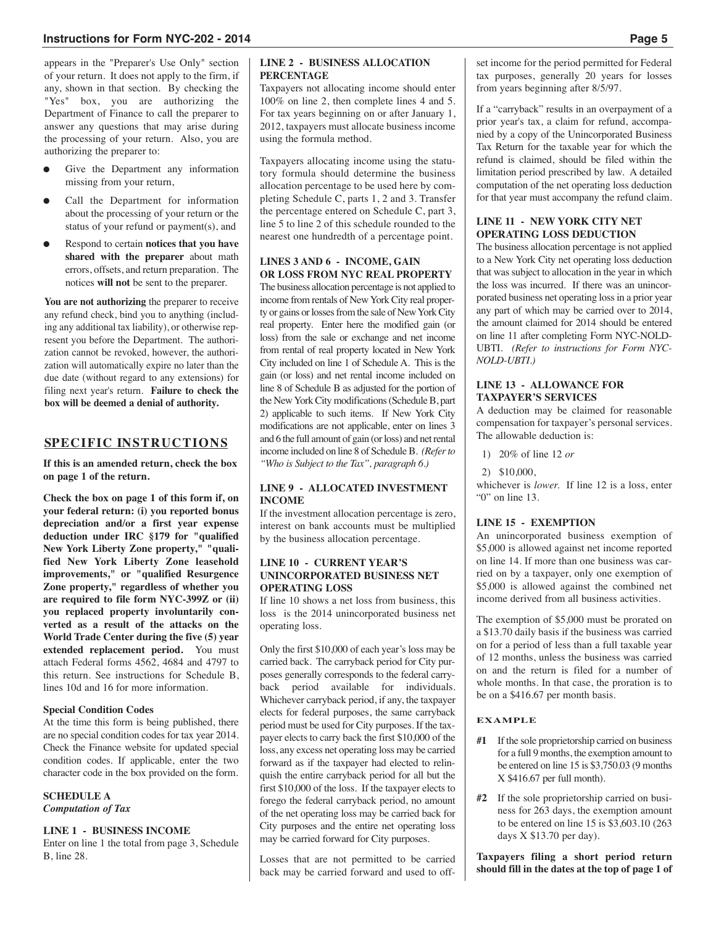## **Instructions for Form NYC-202 - 2014 Page 5**

appears in the "Preparer's Use Only" section of your return. It does not apply to the firm, if any, shown in that section. By checking the "Yes" box, you are authorizing the Department of Finance to call the preparer to answer any questions that may arise during the processing of your return. Also, you are authorizing the preparer to:

- Give the Department any information missing from your return,
- Call the Department for information about the processing of your return or the status of your refund or payment(s), and
- Respond to certain **notices that you have shared with the preparer** about math errors, offsets, and return preparation. The notices **will not** be sent to the preparer.

**You are not authorizing** the preparer to receive any refund check, bind you to anything (including any additional tax liability), or otherwise represent you before the Department. The authorization cannot be revoked, however, the authorization will automatically expire no later than the due date (without regard to any extensions) for filing next year's return. **Failure to check the box will be deemed a denial of authority.**

## **SPECIFIC INSTRUCTIONS**

**If this is an amended return, check the box on page 1 of the return.**

**Check the box on page 1 of this form if, on your federal return: (i) you reported bonus depreciation and/or a first year expense deduction under IRC §179 for "qualified New York Liberty Zone property," "qualified New York Liberty Zone leasehold improvements," or "qualified Resurgence Zone property," regardless of whether you are required to file form NYC-399Z or (ii) you replaced property involuntarily converted as a result of the attacks on the World Trade Center during the five (5) year extended replacement period.** You must attach Federal forms 4562, 4684 and 4797 to this return. See instructions for Schedule B, lines 10d and 16 for more information.

#### **Special Condition Codes**

At the time this form is being published, there are no special condition codes for tax year 2014. Check the Finance website for updated special condition codes. If applicable, enter the two character code in the box provided on the form.

### **SCHEDULE A** *Computation of Tax*

#### **LINE 1 - BUSINESS INCOME**

Enter on line 1 the total from page 3, Schedule B, line 28.

#### **LINE 2 - BUSINESS ALLOCATION PERCENTAGE**

Taxpayers not allocating income should enter 100% on line 2, then complete lines 4 and 5. For tax years beginning on or after January 1, 2012, taxpayers must allocate business income using the formula method.

Taxpayers allocating income using the statutory formula should determine the business allocation percentage to be used here by completing Schedule C, parts 1, 2 and 3. Transfer the percentage entered on Schedule C, part 3, line 5 to line 2 of this schedule rounded to the nearest one hundredth of a percentage point.

## **LINES 3 AND 6 - INCOME, GAIN OR LOSS FROM NYC REAL PROPERTY**

The business allocation percentage is not applied to income from rentals of New York City real property or gains or losses from the sale of New York City real property. Enter here the modified gain (or loss) from the sale or exchange and net income from rental of real property located in New York City included on line 1 of Schedule A. This is the gain (or loss) and net rental income included on line 8 of Schedule B as adjusted for the portion of the New York City modifications (Schedule B, part 2) applicable to such items. If New York City modifications are not applicable, enter on lines 3 and 6 the full amount of gain (or loss) and net rental income included on line 8 of ScheduleB. *(Referto "Who is Subject to the Tax", paragraph 6.)*

#### **LINE 9 - ALLOCATED INVESTMENT INCOME**

If the investment allocation percentage is zero, interest on bank accounts must be multiplied by the business allocation percentage.

#### **LINE 10 - CURRENT YEAR'S UNINCORPORATED BUSINESS NET OPERATING LOSS**

If line 10 shows a net loss from business, this loss is the 2014 unincorporated business net operating loss.

Only the first \$10,000 of each year's loss may be carried back. The carryback period for City purposes generally corresponds to the federal carryback period available for individuals. Whichever carryback period, if any, the taxpayer elects for federal purposes, the same carryback period must be used for City purposes. If the taxpayer elects to carry back the first \$10,000 of the loss, any excess net operating loss may be carried forward as if the taxpayer had elected to relinquish the entire carryback period for all but the first \$10,000 of the loss. If the taxpayer elects to forego the federal carryback period, no amount of the net operating loss may be carried back for City purposes and the entire net operating loss may be carried forward for City purposes.

Losses that are not permitted to be carried back may be carried forward and used to off-

set income for the period permitted for Federal tax purposes, generally 20 years for losses from years beginning after 8/5/97.

If a "carryback" results in an overpayment of a prior year's tax, a claim for refund, accompanied by a copy of the Unincorporated Business Tax Return for the taxable year for which the refund is claimed, should be filed within the limitation period prescribed by law. A detailed computation of the net operating loss deduction for that year must accompany the refund claim.

## **LINE 11 - NEW YORK CITY NET OPERATING LOSS DEDUCTION**

The business allocation percentage is not applied to a New York City net operating loss deduction that was subject to allocation in the year in which the loss was incurred. If there was an unincorporated business net operating loss in a prior year any part of which may be carried over to 2014, the amount claimed for 2014 should be entered on line 11 after completing Form NYC-NOLD-UBTI. *(Refer to instructions for Form NYC-NOLD-UBTI.)*

#### **LINE 13 - ALLOWANCE FOR TAXPAYER'S SERVICES**

A deduction may be claimed for reasonable compensation for taxpayer's personal services. The allowable deduction is:

1) 20% of line 12 *or*

#### 2) \$10,000,

whichever is *lower.* If line 12 is a loss, enter "0" on line 13.

## **LINE 15 - EXEMPTION**

An unincorporated business exemption of \$5,000 is allowed against net income reported on line 14. If more than one business was carried on by a taxpayer, only one exemption of \$5,000 is allowed against the combined net income derived from all business activities.

The exemption of \$5,000 must be prorated on a \$13.70 daily basis if the business was carried on for a period of less than a full taxable year of 12 months, unless the business was carried on and the return is filed for a number of whole months. In that case, the proration is to be on a \$416.67 per month basis.

## **EXAMPLE**

- **#1** If the sole proprietorship carried on business for a full 9 months, the exemption amount to be entered on line 15 is \$3,750.03 (9 months X \$416.67 per full month).
- **#2** If the sole proprietorship carried on business for 263 days, the exemption amount to be entered on line 15 is \$3,603.10 (263 days X \$13.70 per day).

**Taxpayers filing a short period return should fill in the dates at the top of page 1 of**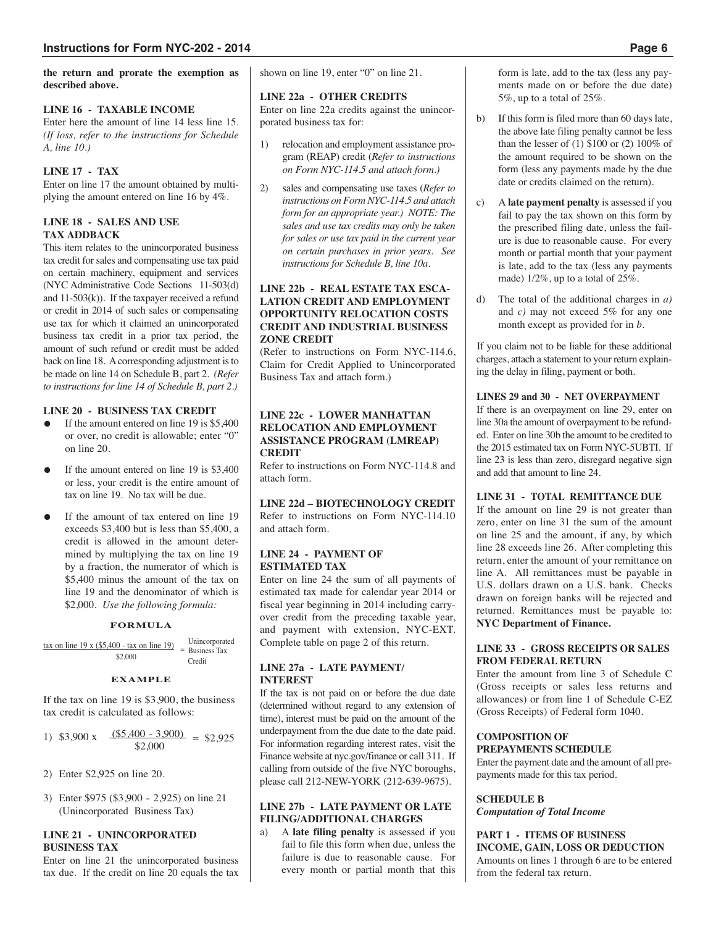#### **the return and prorate the exemption as described above.**

## **LINE 16 - TAXABLE INCOME**

Enter here the amount of line 14 less line 15. *(If loss, refer to the instructions for Schedule A, line 10.)*

## **LINE 17 - TAX**

Enter on line 17 the amount obtained by multiplying the amount entered on line 16 by 4%.

## **LINE 18 - SALES AND USE TAX ADDBACK**

This item relates to the unincorporated business tax credit for sales and compensating use tax paid on certain machinery, equipment and services (NYC Administrative Code Sections 11-503(d) and 11-503(k)). If the taxpayer received a refund or credit in 2014 of such sales or compensating use tax for which it claimed an unincorporated business tax credit in a prior tax period, the amount of such refund or credit must be added back on line 18. A corresponding adjustment is to be made on line 14 on Schedule B, part 2. *(Refer to instructions for line 14 of Schedule B, part 2.)*

## **LINE 20 - BUSINESS TAX CREDIT**

- If the amount entered on line  $19$  is \$5,400 or over, no credit is allowable; enter "0" on line 20.
- If the amount entered on line  $19$  is \$3,400 or less, your credit is the entire amount of tax on line 19. No tax will be due.
- If the amount of tax entered on line 19 exceeds \$3,400 but is less than \$5,400, a credit is allowed in the amount determined by multiplying the tax on line 19 by a fraction, the numerator of which is \$5,400 minus the amount of the tax on line 19 and the denominator of which is \$2,000. *Use the following formula:*

## **FORMULA**

| tax on line $19 \times (\$5,400 - \text{tax on line } 19)$ | Unincorporated   |
|------------------------------------------------------------|------------------|
| \$2,000                                                    | $=$ Business Tax |
|                                                            | Credit           |

## **EXAMPLE**

If the tax on line 19 is \$3,900, the business tax credit is calculated as follows:

- 1) \$3,900 x  $(\frac{$5,400 3,900)}{9} = $2,925$ \$2,000
- 2) Enter \$2,925 on line 20.
- 3) Enter \$975 (\$3,900 2,925) on line 21 (Unincorporated Business Tax)

## **LINE 21 - UNINCORPORATED BUSINESS TAX**

Enter on line 21 the unincorporated business tax due. If the credit on line 20 equals the tax shown on line 19, enter "0" on line 21.

## **LINE 22a - OTHER CREDITS**

Enter on line 22a credits against the unincorporated business tax for:

- 1) relocation and employment assistance program (REAP) credit (*Refer to instructions on Form NYC-114.5 and attach form.)*
- 2) sales and compensating use taxes (*Refer to instructions on Form NYC-114.5 and attach form for an appropriate year.) NOTE: The sales and use tax credits may only be taken for sales or use tax paid in the current year on certain purchases in prior years. See instructions for Schedule B, line 10a.*

## **LINE 22b - REAL ESTATE TAX ESCA-LATION CREDIT AND EMPLOYMENT OPPORTUNITY RELOCATION COSTS CREDIT AND INDUSTRIAL BUSINESS ZONE CREDIT**

(Refer to instructions on Form NYC-114.6, Claim for Credit Applied to Unincorporated Business Tax and attach form.)

## **LINE 22c - LOWER MANHATTAN RELOCATION AND EMPLOYMENT ASSISTANCE PROGRAM (LMREAP) CREDIT**

Refer to instructions on Form NYC-114.8 and attach form.

## **LINE 22d – BIOTECHNOLOGY CREDIT**

Refer to instructions on Form NYC-114.10 and attach form.

#### **LINE 24 - PAYMENT OF ESTIMATED TAX**

Enter on line 24 the sum of all payments of estimated tax made for calendar year 2014 or fiscal year beginning in 2014 including carryover credit from the preceding taxable year, and payment with extension, NYC-EXT. Complete table on page 2 of this return.

## **LINE 27a - LATE PAYMENT/ INTEREST**

If the tax is not paid on or before the due date (determined without regard to any extension of time), interest must be paid on the amount of the underpayment from the due date to the date paid. For information regarding interest rates, visit the Finance website at nyc.gov/finance or call 311. If calling from outside of the five NYC boroughs, please call 212-NEW-YORK (212-639-9675).

## **LINE 27b - LATE PAYMENT OR LATE FILING/ADDITIONAL CHARGES**

a) A **late filing penalty** is assessed if you fail to file this form when due, unless the failure is due to reasonable cause. For every month or partial month that this form is late, add to the tax (less any payments made on or before the due date) 5%, up to a total of 25%.

- b) If this form is filed more than 60 days late, the above late filing penalty cannot be less than the lesser of (1) \$100 or (2) 100% of the amount required to be shown on the form (less any payments made by the due date or credits claimed on the return).
- c) A **late payment penalty** is assessed if you fail to pay the tax shown on this form by the prescribed filing date, unless the failure is due to reasonable cause. For every month or partial month that your payment is late, add to the tax (less any payments made) 1/2%, up to a total of 25%.
- d) The total of the additional charges in *a)* and *c)* may not exceed 5% for any one month except as provided for in *b.*

If you claim not to be liable for these additional charges, attach a statement to your return explaining the delay in filing, payment or both.

## **LINES 29 and 30 - NET OVERPAYMENT**

If there is an overpayment on line 29, enter on line 30a the amount of overpayment to be refunded. Enter on line 30b the amount to be credited to the 2015 estimated tax on Form NYC-5UBTI. If line 23 is less than zero, disregard negative sign and add that amount to line 24.

#### **LINE 31 - TOTAL REMITTANCE DUE**

If the amount on line 29 is not greater than zero, enter on line 31 the sum of the amount on line 25 and the amount, if any, by which line 28 exceeds line 26. After completing this return, enter the amount of your remittance on line A. All remittances must be payable in U.S. dollars drawn on a U.S. bank. Checks drawn on foreign banks will be rejected and returned. Remittances must be payable to: **NYC Department of Finance.**

#### **LINE 33 - GROSS RECEIPTS OR SALES FROM FEDERAL RETURN**

Enter the amount from line 3 of Schedule C (Gross receipts or sales less returns and allowances) or from line 1 of Schedule C-EZ (Gross Receipts) of Federal form 1040.

#### **COMPOSITION OF PREPAYMENTS SCHEDULE**

Enter the payment date and the amount of all prepayments made for this tax period.

## **SCHEDULE B** *Computation of Total Income*

**PART 1 - ITEMS OF BUSINESS INCOME, GAIN, LOSS OR DEDUCTION** Amounts on lines 1 through 6 are to be entered from the federal tax return.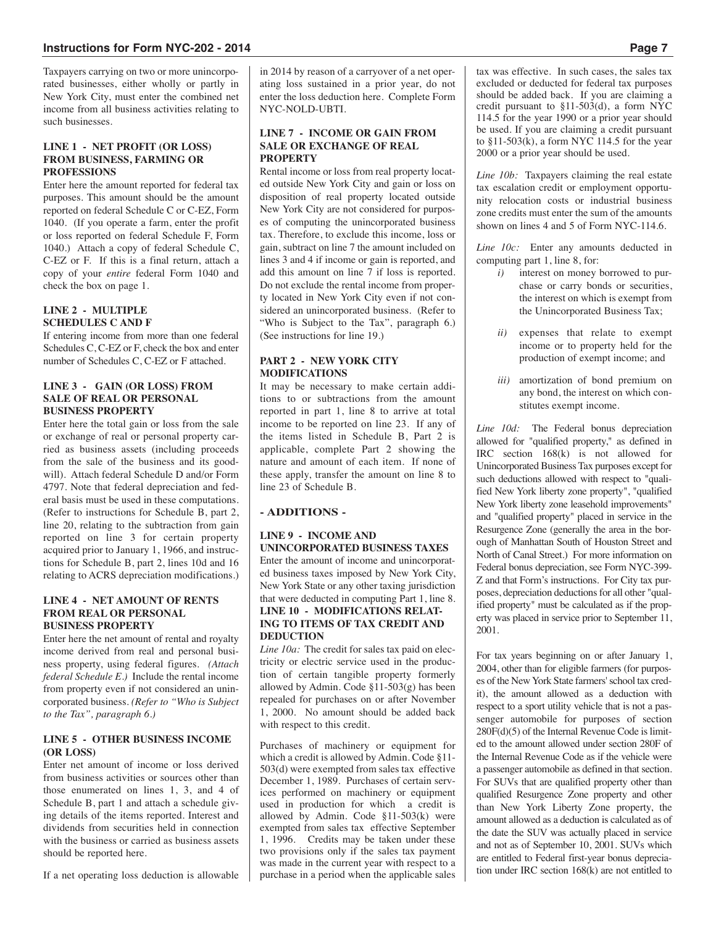Taxpayers carrying on two or more unincorporated businesses, either wholly or partly in New York City, must enter the combined net income from all business activities relating to such businesses.

#### **LINE 1 - NET PROFIT (OR LOSS) FROM BUSINESS, FARMING OR PROFESSIONS**

Enter here the amount reported for federal tax purposes. This amount should be the amount reported on federal Schedule C or C-EZ, Form 1040. (If you operate a farm, enter the profit or loss reported on federal Schedule F, Form 1040.) Attach a copy of federal Schedule C, C-EZ or F. If this is a final return, attach a copy of your *entire* federal Form 1040 and check the box on page 1.

#### **LINE 2 - MULTIPLE SCHEDULES C AND F**

If entering income from more than one federal Schedules C, C-EZ or F, check the box and enter number of Schedules C, C-EZ or F attached.

## **LINE 3 - GAIN (OR LOSS) FROM SALE OF REAL OR PERSONAL BUSINESS PROPERTY**

Enter here the total gain or loss from the sale or exchange of real or personal property carried as business assets (including proceeds from the sale of the business and its goodwill). Attach federal Schedule D and/or Form 4797. Note that federal depreciation and federal basis must be used in these computations. (Refer to instructions for Schedule B, part 2, line 20, relating to the subtraction from gain reported on line 3 for certain property acquired prior to January 1, 1966, and instructions for Schedule B, part 2, lines 10d and 16 relating to ACRS depreciation modifications.)

## **LINE 4 - NET AMOUNT OF RENTS FROM REAL OR PERSONAL BUSINESS PROPERTY**

Enter here the net amount of rental and royalty income derived from real and personal business property, using federal figures. *(Attach federal Schedule E.)* Include the rental income from property even if not considered an unincorporated business. *(Refer to "Who is Subject to the Tax", paragraph 6.)*

## **LINE 5 - OTHER BUSINESS INCOME (OR LOSS)**

Enter net amount of income or loss derived from business activities or sources other than those enumerated on lines 1, 3, and 4 of Schedule B, part 1 and attach a schedule giving details of the items reported. Interest and dividends from securities held in connection with the business or carried as business assets should be reported here.

If a net operating loss deduction is allowable

in 2014 by reason of a carryover of a net operating loss sustained in a prior year, do not enter the loss deduction here. Complete Form NYC-NOLD-UBTI.

## **LINE 7 - INCOME OR GAIN FROM SALE OR EXCHANGE OF REAL PROPERTY**

Rental income or loss from real property located outside New York City and gain or loss on disposition of real property located outside New York City are not considered for purposes of computing the unincorporated business tax. Therefore, to exclude this income, loss or gain, subtract on line 7 the amount included on lines 3 and 4 if income or gain is reported, and add this amount on line 7 if loss is reported. Do not exclude the rental income from property located in New York City even if not considered an unincorporated business. (Refer to "Who is Subject to the Tax", paragraph 6.) (See instructions for line 19.)

## **PART 2 - NEW YORK CITY MODIFICATIONS**

It may be necessary to make certain additions to or subtractions from the amount reported in part 1, line 8 to arrive at total income to be reported on line 23. If any of the items listed in Schedule B, Part 2 is applicable, complete Part 2 showing the nature and amount of each item. If none of these apply, transfer the amount on line 8 to line 23 of Schedule B.

## **- ADDITIONS -**

#### **LINE 9 - INCOME AND UNINCORPORATED BUSINESS TAXES** Enter the amount of income and unincorporated business taxes imposed by New York City, New York State or any other taxing jurisdiction that were deducted in computing Part 1, line 8. **LINE 10 - MODIFICATIONS RELAT-ING TO ITEMS OF TAX CREDIT AND DEDUCTION**

*Line 10a:* The credit for sales tax paid on electricity or electric service used in the production of certain tangible property formerly allowed by Admin. Code §11-503(g) has been repealed for purchases on or after November 1, 2000. No amount should be added back with respect to this credit.

Purchases of machinery or equipment for which a credit is allowed by Admin. Code §11- 503(d) were exempted from sales tax effective December 1, 1989. Purchases of certain services performed on machinery or equipment used in production for which a credit is allowed by Admin. Code §11-503(k) were exempted from sales tax effective September 1, 1996. Credits may be taken under these two provisions only if the sales tax payment was made in the current year with respect to a purchase in a period when the applicable sales tax was effective. In such cases, the sales tax excluded or deducted for federal tax purposes should be added back. If you are claiming a credit pursuant to §11-503(d), a form NYC 114.5 for the year 1990 or a prior year should be used. If you are claiming a credit pursuant to  $$11-503(k)$ , a form NYC 114.5 for the year 2000 or a prior year should be used.

*Line 10b:* Taxpayers claiming the real estate tax escalation credit or employment opportunity relocation costs or industrial business zone credits must enter the sum of the amounts shown on lines 4 and 5 of Form NYC-114.6.

*Line 10c:* Enter any amounts deducted in computing part 1, line 8, for:

- *i)* interest on money borrowed to purchase or carry bonds or securities, the interest on which is exempt from the Unincorporated Business Tax;
- *ii)* expenses that relate to exempt income or to property held for the production of exempt income; and
- *iii)* amortization of bond premium on any bond, the interest on which constitutes exempt income.

*Line 10d:* The Federal bonus depreciation allowed for "qualified property," as defined in IRC section 168(k) is not allowed for Unincorporated Business Tax purposes except for such deductions allowed with respect to "qualified New York liberty zone property", "qualified New York liberty zone leasehold improvements" and "qualified property" placed in service in the Resurgence Zone (generally the area in the borough of Manhattan South of Houston Street and North of Canal Street.) For more information on Federal bonus depreciation, see Form NYC-399- Z and that Form's instructions. For City tax purposes, depreciation deductions for all other "qualified property" must be calculated as if the property was placed in service prior to September 11, 2001.

For tax years beginning on or after January 1, 2004, other than for eligible farmers (for purposes of the New York State farmers' school tax credit), the amount allowed as a deduction with respect to a sport utility vehicle that is not a passenger automobile for purposes of section 280F(d)(5) of the Internal Revenue Code is limited to the amount allowed under section 280F of the Internal Revenue Code as if the vehicle were a passenger automobile as defined in that section. For SUVs that are qualified property other than qualified Resurgence Zone property and other than New York Liberty Zone property, the amount allowed as a deduction is calculated as of the date the SUV was actually placed in service and not as of September 10, 2001. SUVs which are entitled to Federal first-year bonus depreciation under IRC section 168(k) are not entitled to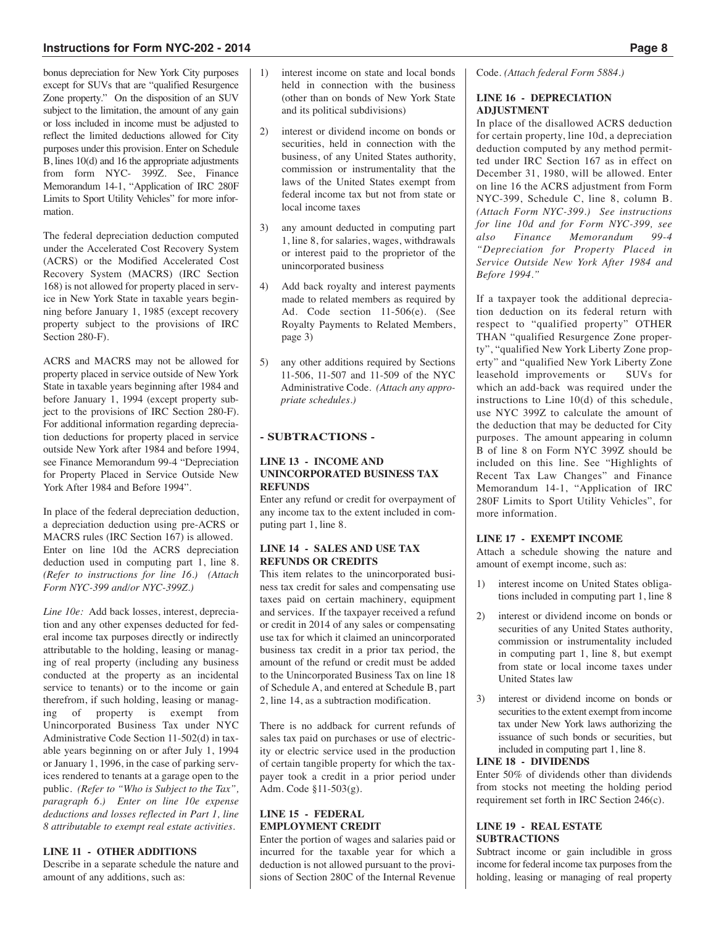bonus depreciation for New York City purposes except for SUVs that are "qualified Resurgence Zone property." On the disposition of an SUV subject to the limitation, the amount of any gain or loss included in income must be adjusted to reflect the limited deductions allowed for City purposes under this provision. Enter on Schedule B, lines 10(d) and 16 the appropriate adjustments from form NYC- 399Z. See, Finance Memorandum 14-1, "Application of IRC 280F Limits to Sport Utility Vehicles" for more information.

The federal depreciation deduction computed under the Accelerated Cost Recovery System (ACRS) or the Modified Accelerated Cost Recovery System (MACRS) (IRC Section 168) is not allowed for property placed in service in New York State in taxable years beginning before January 1, 1985 (except recovery property subject to the provisions of IRC Section 280-F).

ACRS and MACRS may not be allowed for property placed in service outside of New York State in taxable years beginning after 1984 and before January 1, 1994 (except property subject to the provisions of IRC Section 280-F). For additional information regarding depreciation deductions for property placed in service outside New York after 1984 and before 1994, see Finance Memorandum 99-4 "Depreciation for Property Placed in Service Outside New York After 1984 and Before 1994".

In place of the federal depreciation deduction, a depreciation deduction using pre-ACRS or MACRS rules (IRC Section 167) is allowed. Enter on line 10d the ACRS depreciation deduction used in computing part 1, line 8. *(Refer to instructions for line 16.) (Attach Form NYC-399 and/or NYC-399Z.)*

*Line 10e:* Add back losses, interest, depreciation and any other expenses deducted for federal income tax purposes directly or indirectly attributable to the holding, leasing or managing of real property (including any business conducted at the property as an incidental service to tenants) or to the income or gain therefrom, if such holding, leasing or managing of property is exempt from Unincorporated Business Tax under NYC Administrative Code Section 11-502(d) in taxable years beginning on or after July 1, 1994 or January 1, 1996, in the case of parking services rendered to tenants at a garage open to the public. *(Refer to "Who is Subject to the Tax", paragraph 6.) Enter on line 10e expense deductions and losses reflected in Part 1, line 8 attributable to exempt real estate activities.*

## **LINE 11 - OTHER ADDITIONS**

Describe in a separate schedule the nature and amount of any additions, such as:

- 1) interest income on state and local bonds held in connection with the business (other than on bonds of New York State and its political subdivisions)
- 2) interest or dividend income on bonds or securities, held in connection with the business, of any United States authority, commission or instrumentality that the laws of the United States exempt from federal income tax but not from state or local income taxes
- 3) any amount deducted in computing part 1, line 8, for salaries, wages, withdrawals or interest paid to the proprietor of the unincorporated business
- 4) Add back royalty and interest payments made to related members as required by Ad. Code section 11-506(e). (See Royalty Payments to Related Members, page 3)
- 5) any other additions required by Sections 11-506, 11-507 and 11-509 of the NYC Administrative Code. *(Attach any appropriate schedules.)*

## **- SUBTRACTIONS -**

#### **LINE 13 - INCOME AND UNINCORPORATED BUSINESS TAX REFUNDS**

Enter any refund or credit for overpayment of any income tax to the extent included in computing part 1, line 8.

#### **LINE 14 - SALES AND USE TAX REFUNDS OR CREDITS**

This item relates to the unincorporated business tax credit for sales and compensating use taxes paid on certain machinery, equipment and services. If the taxpayer received a refund or credit in 2014 of any sales or compensating use tax for which it claimed an unincorporated business tax credit in a prior tax period, the amount of the refund or credit must be added to the Unincorporated Business Tax on line 18 of Schedule A, and entered at Schedule B, part 2, line 14, as a subtraction modification.

There is no addback for current refunds of sales tax paid on purchases or use of electricity or electric service used in the production of certain tangible property for which the taxpayer took a credit in a prior period under Adm. Code §11-503(g).

## **LINE 15 - FEDERAL EMPLOYMENT CREDIT**

Enter the portion of wages and salaries paid or incurred for the taxable year for which a deduction is not allowed pursuant to the provisions of Section 280C of the Internal Revenue Code. *(Attach federal Form 5884.)*

## **LINE 16 - DEPRECIATION ADJUSTMENT**

In place of the disallowed ACRS deduction for certain property, line 10d, a depreciation deduction computed by any method permitted under IRC Section 167 as in effect on December 31, 1980, will be allowed. Enter on line 16 the ACRS adjustment from Form NYC-399, Schedule C, line 8, column B. *(Attach Form NYC-399.) See instructions for line 10d and for Form NYC-399, see also Finance Memorandum 99-4 "Depreciation for Property Placed in Service Outside New York After 1984 and Before 1994."*

If a taxpayer took the additional depreciation deduction on its federal return with respect to "qualified property" OTHER THAN "qualified Resurgence Zone property", "qualified New York Liberty Zone property" and "qualified New York Liberty Zone leasehold improvements or SUVs for which an add-back was required under the instructions to Line 10(d) of this schedule, use NYC 399Z to calculate the amount of the deduction that may be deducted for City purposes. The amount appearing in column B of line 8 on Form NYC 399Z should be included on this line. See "Highlights of Recent Tax Law Changes" and Finance Memorandum 14-1, "Application of IRC 280F Limits to Sport Utility Vehicles", for more information.

## **LINE 17 - EXEMPT INCOME**

Attach a schedule showing the nature and amount of exempt income, such as:

- 1) interest income on United States obligations included in computing part 1, line 8
- 2) interest or dividend income on bonds or securities of any United States authority, commission or instrumentality included in computing part 1, line 8, but exempt from state or local income taxes under United States law
- 3) interest or dividend income on bonds or securities to the extent exempt from income tax under New York laws authorizing the issuance of such bonds or securities, but included in computing part 1, line 8.

#### **LINE 18 - DIVIDENDS**

Enter 50% of dividends other than dividends from stocks not meeting the holding period requirement set forth in IRC Section 246(c).

#### **LINE 19 - REAL ESTATE SUBTRACTIONS**

Subtract income or gain includible in gross income for federal income tax purposes from the holding, leasing or managing of real property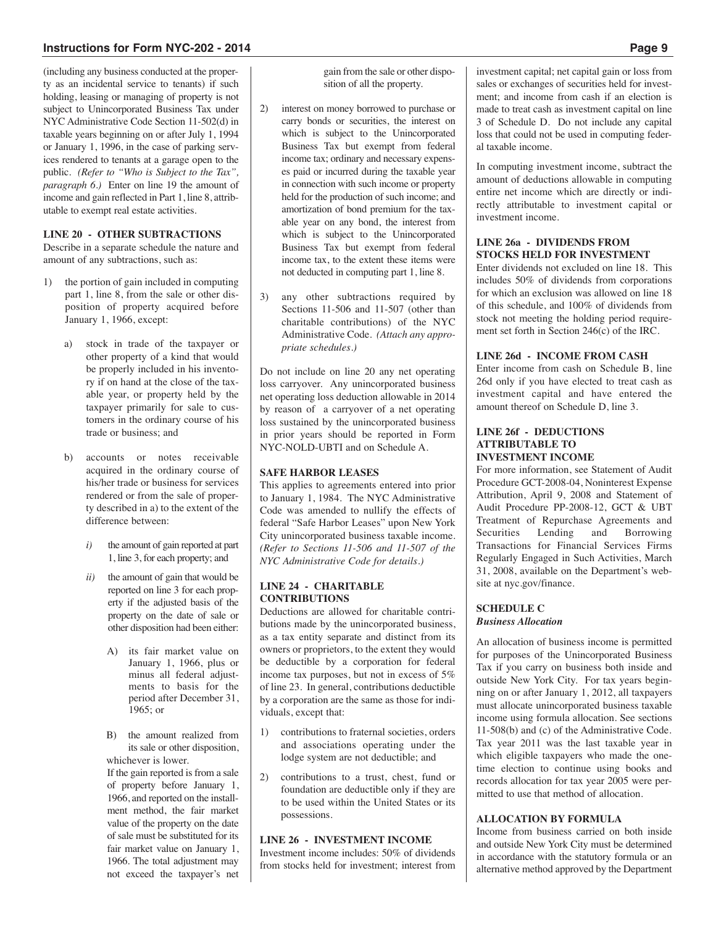(including any business conducted at the property as an incidental service to tenants) if such holding, leasing or managing of property is not subject to Unincorporated Business Tax under NYC Administrative Code Section 11-502(d) in taxable years beginning on or after July 1, 1994 or January 1, 1996, in the case of parking services rendered to tenants at a garage open to the public. *(Refer to "Who is Subject to the Tax", paragraph 6.)* Enter on line 19 the amount of income and gain reflected in Part 1, line 8, attributable to exempt real estate activities.

#### **LINE 20 - OTHER SUBTRACTIONS**

Describe in a separate schedule the nature and amount of any subtractions, such as:

- 1) the portion of gain included in computing part 1, line 8, from the sale or other disposition of property acquired before January 1, 1966, except:
	- a) stock in trade of the taxpayer or other property of a kind that would be properly included in his inventory if on hand at the close of the taxable year, or property held by the taxpayer primarily for sale to customers in the ordinary course of his trade or business; and
	- b) accounts or notes receivable acquired in the ordinary course of his/her trade or business for services rendered or from the sale of property described in a) to the extent of the difference between:
		- *i)* the amount of gain reported at part 1, line 3, for each property; and
		- *ii)* the amount of gain that would be reported on line 3 for each property if the adjusted basis of the property on the date of sale or other disposition had been either:
			- A) its fair market value on January 1, 1966, plus or minus all federal adjustments to basis for the period after December 31, 1965; or
			- B) the amount realized from its sale or other disposition, whichever is lower.

If the gain reported is from a sale of property before January 1, 1966, and reported on the installment method, the fair market value of the property on the date of sale must be substituted for its fair market value on January 1, 1966. The total adjustment may not exceed the taxpayer's net gain from the sale or other disposition of all the property.

- 2) interest on money borrowed to purchase or carry bonds or securities, the interest on which is subject to the Unincorporated Business Tax but exempt from federal income tax; ordinary and necessary expenses paid or incurred during the taxable year in connection with such income or property held for the production of such income; and amortization of bond premium for the taxable year on any bond, the interest from which is subject to the Unincorporated Business Tax but exempt from federal income tax, to the extent these items were not deducted in computing part 1, line 8.
- 3) any other subtractions required by Sections 11-506 and 11-507 (other than charitable contributions) of the NYC Administrative Code. *(Attach any appropriate schedules.)*

Do not include on line 20 any net operating loss carryover. Any unincorporated business net operating loss deduction allowable in 2014 by reason of a carryover of a net operating loss sustained by the unincorporated business in prior years should be reported in Form NYC-NOLD-UBTI and on Schedule A.

#### **SAFE HARBOR LEASES**

This applies to agreements entered into prior to January 1, 1984. The NYC Administrative Code was amended to nullify the effects of federal "Safe Harbor Leases" upon New York City unincorporated business taxable income. *(Refer to Sections 11-506 and 11-507 of the NYC Administrative Code for details.)*

#### **LINE 24 - CHARITABLE CONTRIBUTIONS**

Deductions are allowed for charitable contributions made by the unincorporated business, as a tax entity separate and distinct from its owners or proprietors, to the extent they would be deductible by a corporation for federal income tax purposes, but not in excess of 5% of line 23. In general, contributions deductible by a corporation are the same as those for individuals, except that:

- 1) contributions to fraternal societies, orders and associations operating under the lodge system are not deductible; and
- 2) contributions to a trust, chest, fund or foundation are deductible only if they are to be used within the United States or its possessions.

## **LINE 26 - INVESTMENT INCOME**

Investment income includes: 50% of dividends from stocks held for investment; interest from investment capital; net capital gain or loss from sales or exchanges of securities held for investment; and income from cash if an election is made to treat cash as investment capital on line 3 of Schedule D. Do not include any capital loss that could not be used in computing federal taxable income.

In computing investment income, subtract the amount of deductions allowable in computing entire net income which are directly or indirectly attributable to investment capital or investment income.

#### **LINE 26a - DIVIDENDS FROM STOCKS HELD FOR INVESTMENT**

Enter dividends not excluded on line 18. This includes 50% of dividends from corporations for which an exclusion was allowed on line 18 of this schedule, and 100% of dividends from stock not meeting the holding period requirement set forth in Section 246(c) of the IRC.

#### **LINE 26d - INCOME FROM CASH**

Enter income from cash on Schedule B, line 26d only if you have elected to treat cash as investment capital and have entered the amount thereof on Schedule D, line 3.

#### **LINE 26f - DEDUCTIONS ATTRIBUTABLE TO INVESTMENT INCOME**

For more information, see Statement of Audit Procedure GCT-2008-04, Noninterest Expense Attribution, April 9, 2008 and Statement of Audit Procedure PP-2008-12, GCT & UBT Treatment of Repurchase Agreements and<br>Securities Lending and Borrowing Securities Lending and Borrowing Transactions for Financial Services Firms Regularly Engaged in Such Activities, March 31, 2008, available on the Department's website at nyc.gov/finance.

#### **SCHEDULE C** *Business Allocation*

An allocation of business income is permitted for purposes of the Unincorporated Business Tax if you carry on business both inside and outside New York City. For tax years beginning on or after January 1, 2012, all taxpayers must allocate unincorporated business taxable income using formula allocation. See sections 11-508(b) and (c) of the Administrative Code. Tax year 2011 was the last taxable year in which eligible taxpayers who made the onetime election to continue using books and records allocation for tax year 2005 were permitted to use that method of allocation.

## **ALLOCATION BY FORMULA**

Income from business carried on both inside and outside New York City must be determined in accordance with the statutory formula or an alternative method approved by the Department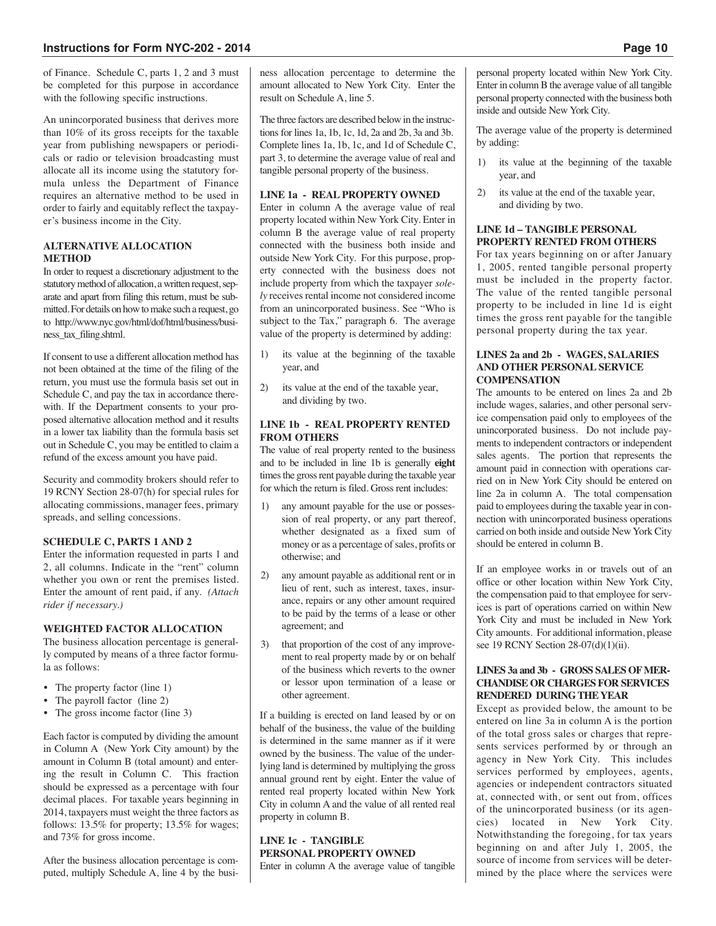of Finance. Schedule C, parts 1, 2 and 3 must be completed for this purpose in accordance with the following specific instructions.

An unincorporated business that derives more than 10% of its gross receipts for the taxable year from publishing newspapers or periodicals or radio or television broadcasting must allocate all its income using the statutory formula unless the Department of Finance requires an alternative method to be used in order to fairly and equitably reflect the taxpayer's business income in the City.

#### **ALTERNATIVE ALLOCATION METHOD**

In order to request a discretionary adjustment to the statutory method of allocation, a written request, separate and apart from filing this return, must be submitted.For details on howtomake such a request, go to http://www.nyc.gov/html/dof/html/business/business\_tax\_filing.shtml.

If consent to use a different allocation method has not been obtained at the time of the filing of the return, you must use the formula basis set out in Schedule C, and pay the tax in accordance therewith. If the Department consents to your proposed alternative allocation method and it results in a lower tax liability than the formula basis set out in Schedule C, you may be entitled to claim a refund of the excess amount you have paid.

Security and commodity brokers should refer to 19 RCNY Section 28-07(h) for special rules for allocating commissions, manager fees, primary spreads, and selling concessions.

## **SCHEDULE C, PARTS 1 AND 2**

Enter the information requested in parts 1 and 2, all columns. Indicate in the "rent" column whether you own or rent the premises listed. Enter the amount of rent paid, if any. *(Attach rider if necessary.)*

## **WEIGHTED FACTOR ALLOCATION**

The business allocation percentage is generally computed by means of a three factor formula as follows:

- The property factor (line 1)
- The payroll factor (line 2)
- The gross income factor (line 3)

Each factor is computed by dividing the amount in Column A (New York City amount) by the amount in Column B (total amount) and entering the result in Column C. This fraction should be expressed as a percentage with four decimal places. For taxable years beginning in 2014, taxpayers must weight the three factors as follows: 13.5% for property; 13.5% for wages; and 73% for gross income.

After the business allocation percentage is computed, multiply Schedule A, line 4 by the business allocation percentage to determine the amount allocated to New York City. Enter the result on Schedule A, line 5.

The three factors are described below in the instructions for lines 1a, 1b, 1c, 1d, 2a and 2b, 3a and 3b. Complete lines 1a, 1b, 1c, and 1d of Schedule C, part 3, to determine the average value of real and tangible personal property of the business.

## **LINE 1a - REAL PROPERTY OWNED**

Enter in column A the average value of real property located within New York City. Enter in column B the average value of real property connected with the business both inside and outside New York City. For this purpose, property connected with the business does not include property from which the taxpayer *solely* receives rental income not considered income from an unincorporated business. See "Who is subject to the Tax," paragraph 6. The average value of the property is determined by adding:

- 1) its value at the beginning of the taxable year, and
- 2) its value at the end of the taxable year, and dividing by two.

## **LINE 1b - REAL PROPERTY RENTED FROM OTHERS**

The value of real property rented to the business and to be included in line 1b is generally **eight** times the gross rent payable during the taxable year for which the return is filed. Gross rent includes:

- any amount payable for the use or possession of real property, or any part thereof, whether designated as a fixed sum of money or as a percentage of sales, profits or otherwise; and
- 2) any amount payable as additional rent or in lieu of rent, such as interest, taxes, insurance, repairs or any other amount required to be paid by the terms of a lease or other agreement; and
- 3) that proportion of the cost of any improvement to real property made by or on behalf of the business which reverts to the owner or lessor upon termination of a lease or other agreement.

If a building is erected on land leased by or on behalf of the business, the value of the building is determined in the same manner as if it were owned by the business. The value of the underlying land is determined by multiplying the gross annual ground rent by eight. Enter the value of rented real property located within New York City in column A and the value of all rented real property in column B.

## **LINE 1c - TANGIBLE PERSONAL PROPERTY OWNED** Enter in column A the average value of tangible

personal property located within New York City. Enter in column B the average value of all tangible personal property connected with the business both inside and outside New York City.

The average value of the property is determined by adding:

- 1) its value at the beginning of the taxable year, and
- 2) its value at the end of the taxable year, and dividing by two.

## **LINE 1d – TANGIBLE PERSONAL PROPERTY RENTED FROM OTHERS**

For tax years beginning on or after January 1, 2005, rented tangible personal property must be included in the property factor. The value of the rented tangible personal property to be included in line 1d is eight times the gross rent payable for the tangible personal property during the tax year.

## **LINES 2a and 2b - WAGES, SALARIES AND OTHER PERSONAL SERVICE COMPENSATION**

The amounts to be entered on lines 2a and 2b include wages, salaries, and other personal service compensation paid only to employees of the unincorporated business. Do not include payments to independent contractors or independent sales agents. The portion that represents the amount paid in connection with operations carried on in New York City should be entered on line 2a in column A. The total compensation paid to employees during the taxable year in connection with unincorporated business operations carried on both inside and outside NewYork City should be entered in column B.

If an employee works in or travels out of an office or other location within New York City, the compensation paid to that employee for services is part of operations carried on within New York City and must be included in New York City amounts. For additional information, please see 19 RCNY Section 28-07(d)(1)(ii).

## **LINES 3a and 3b - GROSS SALES OFMER-CHANDISE OR CHARGES FOR SERVICES RENDERED DURING THEYEAR**

Except as provided below, the amount to be entered on line 3a in column A is the portion of the total gross sales or charges that represents services performed by or through an agency in New York City. This includes services performed by employees, agents, agencies or independent contractors situated at, connected with, or sent out from, offices of the unincorporated business (or its agencies) located in New York City. located in New York City. Notwithstanding the foregoing, for tax years beginning on and after July 1, 2005, the source of income from services will be determined by the place where the services were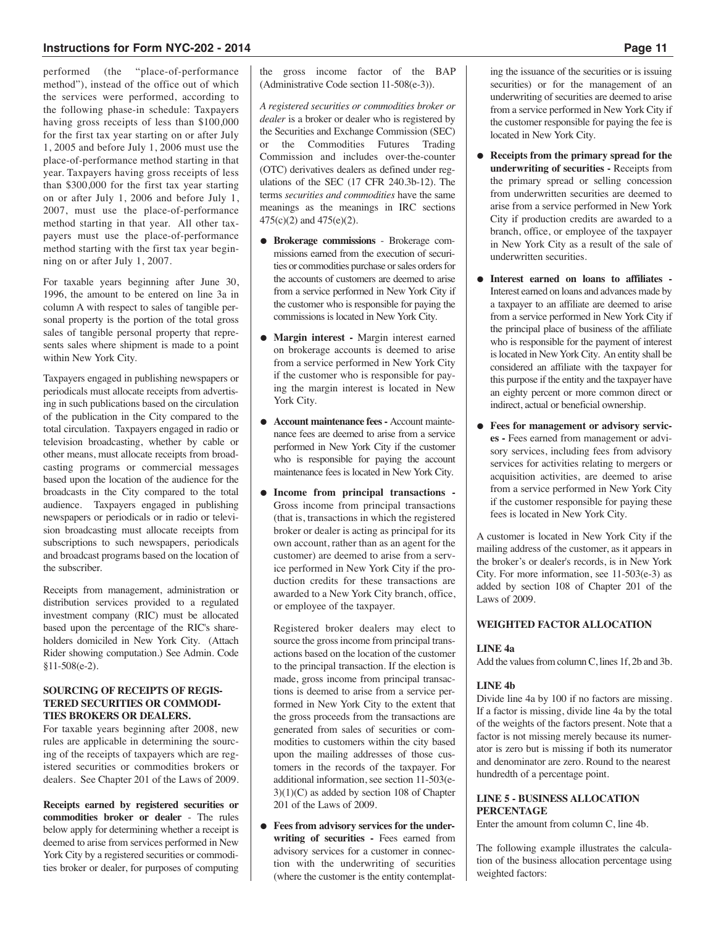performed (the "place-of-performance method"), instead of the office out of which the services were performed, according to the following phase-in schedule: Taxpayers having gross receipts of less than \$100,000 for the first tax year starting on or after July 1, 2005 and before July 1, 2006 must use the place-of-performance method starting in that year. Taxpayers having gross receipts of less than \$300,000 for the first tax year starting on or after July 1, 2006 and before July 1, 2007, must use the place-of-performance method starting in that year. All other taxpayers must use the place-of-performance method starting with the first tax year beginning on or after July 1, 2007.

For taxable years beginning after June 30, 1996, the amount to be entered on line 3a in column A with respect to sales of tangible personal property is the portion of the total gross sales of tangible personal property that represents sales where shipment is made to a point within New York City.

Taxpayers engaged in publishing newspapers or periodicals must allocate receipts from advertising in such publications based on the circulation of the publication in the City compared to the total circulation. Taxpayers engaged in radio or television broadcasting, whether by cable or other means, must allocate receipts from broadcasting programs or commercial messages based upon the location of the audience for the broadcasts in the City compared to the total audience. Taxpayers engaged in publishing newspapers or periodicals or in radio or television broadcasting must allocate receipts from subscriptions to such newspapers, periodicals and broadcast programs based on the location of the subscriber.

Receipts from management, administration or distribution services provided to a regulated investment company (RIC) must be allocated based upon the percentage of the RIC's shareholders domiciled in New York City. (Attach Rider showing computation.) See Admin. Code §11-508(e-2).

#### **SOURCING OF RECEIPTS OF REGIS-TERED SECURITIES OR COMMODI-TIES BROKERS OR DEALERS.**

For taxable years beginning after 2008, new rules are applicable in determining the sourcing of the receipts of taxpayers which are registered securities or commodities brokers or dealers. See Chapter 201 of the Laws of 2009.

**Receipts earned by registered securities or commodities broker or dealer** - The rules below apply for determining whether a receipt is deemed to arise from services performed in New York City by a registered securities or commodities broker or dealer, for purposes of computing

the gross income factor of the BAP (Administrative Code section 11-508(e-3)).

*A registered securities or commodities broker or dealer* is a broker or dealer who is registered by the Securities and Exchange Commission (SEC) or the Commodities Futures Trading Commission and includes over-the-counter (OTC) derivatives dealers as defined under regulations of the SEC (17 CFR 240.3b-12). The terms *securities and commodities* have the same meanings as the meanings in IRC sections 475(c)(2) and 475(e)(2).

- **Brokerage commissions** Brokerage commissions earned from the execution of securities or commodities purchase or sales orders for the accounts of customers are deemed to arise from a service performed in New York City if the customer who is responsible for paying the commissions is located in New York City.
- **Margin interest -** Margin interest earned on brokerage accounts is deemed to arise from a service performed in New York City if the customer who is responsible for paying the margin interest is located in New York City.
- **Account maintenance fees-** Account maintenance fees are deemed to arise from a service performed in New York City if the customer who is responsible for paying the account maintenance fees is located in New York City.
- **Income from principal transactions -** Gross income from principal transactions (that is, transactions in which the registered broker or dealer is acting as principal for its own account, rather than as an agent for the customer) are deemed to arise from a service performed in New York City if the production credits for these transactions are awarded to a New York City branch, office, or employee of the taxpayer.

Registered broker dealers may elect to source the gross income from principal transactions based on the location of the customer to the principal transaction. If the election is made, gross income from principal transactions is deemed to arise from a service performed in New York City to the extent that the gross proceeds from the transactions are generated from sales of securities or commodities to customers within the city based upon the mailing addresses of those customers in the records of the taxpayer. For additional information, see section 11-503(e-3)(1)(C) as added by section 108 of Chapter 201 of the Laws of 2009.

● **Fees from advisory services for the underwriting of securities -** Fees earned from advisory services for a customer in connection with the underwriting of securities (where the customer is the entity contemplating the issuance of the securities or is issuing securities) or for the management of an underwriting of securities are deemed to arise from a service performed in New York City if the customer responsible for paying the fee is located in New York City.

- **Receipts from the primary spread for the underwriting of securities -** Receipts from the primary spread or selling concession from underwritten securities are deemed to arise from a service performed in New York City if production credits are awarded to a branch, office, or employee of the taxpayer in New York City as a result of the sale of underwritten securities.
- **Interest earned on loans to affiliates -** Interest earned on loans and advances made by a taxpayer to an affiliate are deemed to arise from a service performed in New York City if the principal place of business of the affiliate who is responsible for the payment of interest is located in New York City. An entity shall be considered an affiliate with the taxpayer for this purpose if the entity and the taxpayer have an eighty percent or more common direct or indirect, actual or beneficial ownership.
- **Fees for management or advisory services -** Fees earned from management or advisory services, including fees from advisory services for activities relating to mergers or acquisition activities, are deemed to arise from a service performed in New York City if the customer responsible for paying these fees is located in New York City.

A customer is located in New York City if the mailing address of the customer, as it appears in the broker's or dealer's records, is in New York City. For more information, see 11-503(e-3) as added by section 108 of Chapter 201 of the Laws of 2009.

## **WEIGHTED FACTOR ALLOCATION**

#### **LINE 4a**

Add the values from column C, lines 1f, 2b and 3b.

#### **LINE 4b**

Divide line 4a by 100 if no factors are missing. If a factor is missing, divide line 4a by the total of the weights of the factors present. Note that a factor is not missing merely because its numerator is zero but is missing if both its numerator and denominator are zero. Round to the nearest hundredth of a percentage point.

## **LINE 5 - BUSINESS ALLOCATION PERCENTAGE**

Enter the amount from column C, line 4b.

The following example illustrates the calculation of the business allocation percentage using weighted factors: